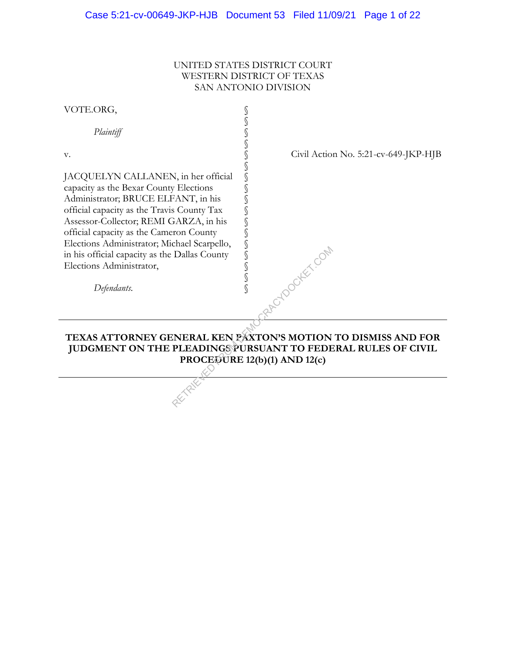# UNITED STATES DISTRICT COURT WESTERN DISTRICT OF TEXAS SAN ANTONIO DIVISION

| VOTE.ORG,                                                                                                                                                                                                                                                                                                                                                                           |                                        |
|-------------------------------------------------------------------------------------------------------------------------------------------------------------------------------------------------------------------------------------------------------------------------------------------------------------------------------------------------------------------------------------|----------------------------------------|
| Plaintiff                                                                                                                                                                                                                                                                                                                                                                           |                                        |
| V.                                                                                                                                                                                                                                                                                                                                                                                  | Civil Action No. 5:21-cv-649-JKP-HJB   |
| JACQUELYN CALLANEN, in her official<br>capacity as the Bexar County Elections<br>Administrator; BRUCE ELFANT, in his<br>official capacity as the Travis County Tax<br>Assessor-Collector; REMI GARZA, in his<br>official capacity as the Cameron County<br>Elections Administrator; Michael Scarpello,<br>in his official capacity as the Dallas County<br>Elections Administrator, | <b>TOOOKEY COM</b><br>S<br>$\mathbb S$ |
| Defendants.                                                                                                                                                                                                                                                                                                                                                                         |                                        |
|                                                                                                                                                                                                                                                                                                                                                                                     |                                        |
| TEXAS ATTORNEY GENERAL KEN PAXTON'S MOTION TO DISMISS AND FOR<br>JUDGMENT ON THE PLEADINGS PURSUANT TO FEDERAL RULES OF CIVIL<br>PROCEOURE 12(b)(1) AND 12(c)                                                                                                                                                                                                                       |                                        |
|                                                                                                                                                                                                                                                                                                                                                                                     |                                        |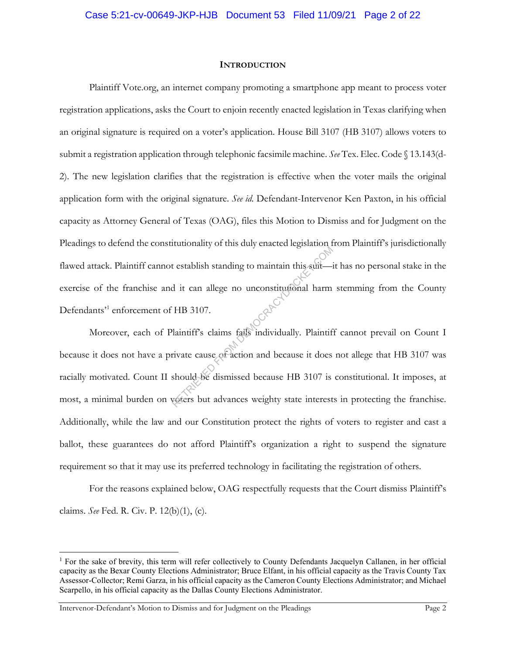#### **INTRODUCTION**

Plaintiff Vote.org, an internet company promoting a smartphone app meant to process voter registration applications, asks the Court to enjoin recently enacted legislation in Texas clarifying when an original signature is required on a voter's application. House Bill 3107 (HB 3107) allows voters to submit a registration application through telephonic facsimile machine. *See* Tex. Elec. Code § 13.143(d-2). The new legislation clarifies that the registration is effective when the voter mails the original application form with the original signature. *See id.* Defendant-Intervenor Ken Paxton, in his official capacity as Attorney General of Texas (OAG), files this Motion to Dismiss and for Judgment on the Pleadings to defend the constitutionality of this duly enacted legislation from Plaintiff's jurisdictionally flawed attack. Plaintiff cannot establish standing to maintain this suit—it has no personal stake in the exercise of the franchise and it can allege no unconstitutional harm stemming from the County Defendants<sup>31</sup> enforcement of HB 3107.

Moreover, each of Plaintiff's claims fails individually. Plaintiff cannot prevail on Count I because it does not have a private cause of action and because it does not allege that HB 3107 was racially motivated. Count II should be dismissed because HB 3107 is constitutional. It imposes, at most, a minimal burden on voters but advances weighty state interests in protecting the franchise. Additionally, while the law and our Constitution protect the rights of voters to register and cast a ballot, these guarantees do not afford Plaintiff's organization a right to suspend the signature requirement so that it may use its preferred technology in facilitating the registration of others. restablish standing to maintain this suit-<br>d it can allege no unconstitutional harm<br>HB 3107.<br>laintiff's claims fails individually. Plaintif<br>rivate cause of action and because it does<br>should be dismissed because HB 3107 is<br>

For the reasons explained below, OAG respectfully requests that the Court dismiss Plaintiff's claims. *See* Fed. R. Civ. P. 12(b)(1), (c).

<sup>1</sup> For the sake of brevity, this term will refer collectively to County Defendants Jacquelyn Callanen, in her official capacity as the Bexar County Elections Administrator; Bruce Elfant, in his official capacity as the Travis County Tax Assessor-Collector; Remi Garza, in his official capacity as the Cameron County Elections Administrator; and Michael Scarpello, in his official capacity as the Dallas County Elections Administrator.

Intervenor-Defendant's Motion to Dismiss and for Judgment on the Pleadings Page 2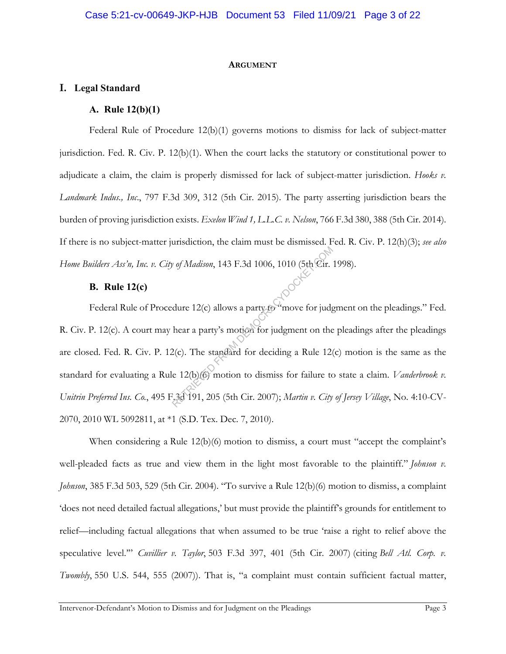#### **ARGUMENT**

# **I. Legal Standard**

# **A. Rule 12(b)(1)**

Federal Rule of Procedure 12(b)(1) governs motions to dismiss for lack of subject-matter jurisdiction. Fed. R. Civ. P. 12(b)(1). When the court lacks the statutory or constitutional power to adjudicate a claim, the claim is properly dismissed for lack of subject-matter jurisdiction. *Hooks v. Landmark Indus., Inc*., 797 F.3d 309, 312 (5th Cir. 2015). The party asserting jurisdiction bears the burden of proving jurisdiction exists. *Exelon Wind 1, L.L.C. v. Nelson*, 766 F.3d 380, 388 (5th Cir. 2014). If there is no subject-matter jurisdiction, the claim must be dismissed. Fed. R. Civ. P. 12(h)(3); *see also Home Builders Ass'n, Inc. v. City of Madison*, 143 F.3d 1006, 1010 (5th Cir. 1998).

## **B. Rule 12(c)**

Federal Rule of Procedure 12(c) allows a party to "move for judgment on the pleadings." Fed. R. Civ. P. 12(c). A court may hear a party's motion for judgment on the pleadings after the pleadings are closed. Fed. R. Civ. P. 12(c). The standard for deciding a Rule 12(c) motion is the same as the standard for evaluating a Rule 12(b)(6) motion to dismiss for failure to state a claim. *Vanderbrook v. Unitrin Preferred Ins. Co.*, 495 F.3d 191, 205 (5th Cir. 2007); *Martin v. City of Jersey Village*, No. 4:10-CV-2070, 2010 WL 5092811, at \*1 (S.D. Tex. Dec. 7, 2010). *Ref* Madison, 143 F.3d 1006, 1010 (5th Cir.<br>dure 12(c) allows a party for move for judged are a party's motion for judgment on the 2(c). The standard for deciding a Rule 12(e) 12(b) (6) motion to dismiss for failure to 3

When considering a Rule 12(b)(6) motion to dismiss, a court must "accept the complaint's well-pleaded facts as true and view them in the light most favorable to the plaintiff." *Johnson v. Johnson*, 385 F.3d 503, 529 (5th Cir. 2004). "To survive a Rule 12(b)(6) motion to dismiss, a complaint 'does not need detailed factual allegations,' but must provide the plaintiff's grounds for entitlement to relief—including factual allegations that when assumed to be true 'raise a right to relief above the speculative level.'" *Cuvillier v. Taylor*, 503 F.3d 397, 401 (5th Cir. 2007) (citing *Bell Atl. Corp. v. Twombly*, 550 U.S. 544, 555 (2007)). That is, "a complaint must contain sufficient factual matter,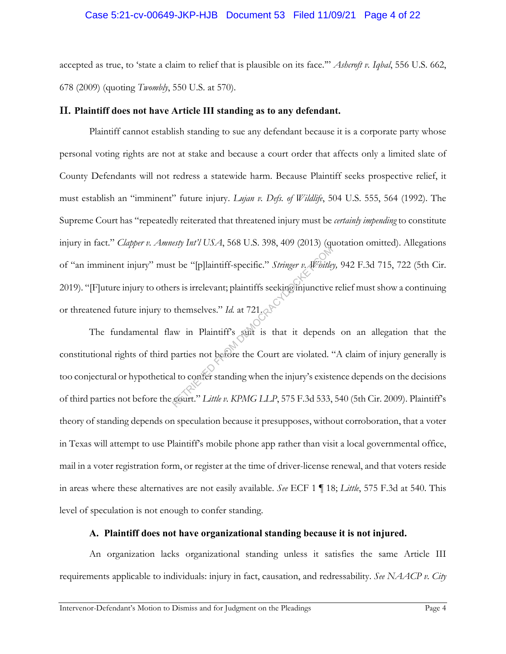## Case 5:21-cv-00649-JKP-HJB Document 53 Filed 11/09/21 Page 4 of 22

accepted as true, to 'state a claim to relief that is plausible on its face.'" *Ashcroft v. Iqbal*, 556 U.S. 662, 678 (2009) (quoting *Twombly*, 550 U.S. at 570).

## **II. Plaintiff does not have Article III standing as to any defendant.**

Plaintiff cannot establish standing to sue any defendant because it is a corporate party whose personal voting rights are not at stake and because a court order that affects only a limited slate of County Defendants will not redress a statewide harm. Because Plaintiff seeks prospective relief, it must establish an "imminent" future injury. *Lujan v. Defs. of Wildlife*, 504 U.S. 555, 564 (1992). The Supreme Court has "repeatedly reiterated that threatened injury must be *certainly impending* to constitute injury in fact." *Clapper v. Amnesty Int'l USA*, 568 U.S. 398, 409 (2013) (quotation omitted). Allegations of "an imminent injury" must be "[p]laintiff-specific." *Stringer v. Whitley,* 942 F.3d 715, 722 (5th Cir. 2019). "[F]uture injury to others is irrelevant; plaintiffs seeking injunctive relief must show a continuing or threatened future injury to themselves." *Id.* at 721.

The fundamental flaw in Plaintiff's suit is that it depends on an allegation that the constitutional rights of third parties not before the Court are violated. "A claim of injury generally is too conjectural or hypothetical to confer standing when the injury's existence depends on the decisions of third parties not before the court." *Little v. KPMG LLP*, 575 F.3d 533, 540 (5th Cir. 2009). Plaintiff's theory of standing depends on speculation because it presupposes, without corroboration, that a voter in Texas will attempt to use Plaintiff's mobile phone app rather than visit a local governmental office, mail in a voter registration form, or register at the time of driver-license renewal, and that voters reside in areas where these alternatives are not easily available. *See* ECF 1 ¶ 18; *Little*, 575 F.3d at 540. This level of speculation is not enough to confer standing. ret be "[p]laintiff-specific." *Stringer v. Whitle*<br>res is irrelevant; plaintiffs seeking injunctive<br>themselves." *Id.* at 721.<br>www.in Plaintiff's suit is that it depends<br>parties not before the Court are violated.<br>al to co

# **A. Plaintiff does not have organizational standing because it is not injured.**

An organization lacks organizational standing unless it satisfies the same Article III requirements applicable to individuals: injury in fact, causation, and redressability. *See NAACP v. City*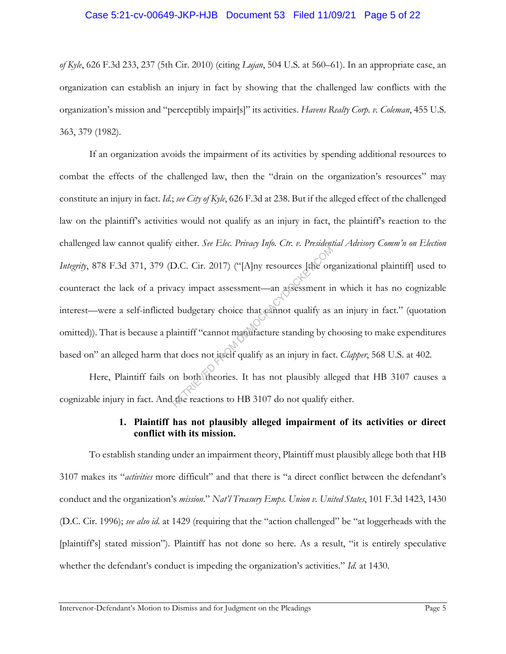### Case 5:21-cv-00649-JKP-HJB Document 53 Filed 11/09/21 Page 5 of 22

*of Kyle*, 626 F.3d 233, 237 (5th Cir. 2010) (citing *Lujan*, 504 U.S. at 560–61). In an appropriate case, an organization can establish an injury in fact by showing that the challenged law conflicts with the organization's mission and "perceptibly impair[s]" its activities. *Havens Realty Corp. v. Coleman*, 455 U.S. 363, 379 (1982).

If an organization avoids the impairment of its activities by spending additional resources to combat the effects of the challenged law, then the "drain on the organization's resources" may constitute an injury in fact. *Id.*; *see City of Kyle*, 626 F.3d at 238. But if the alleged effect of the challenged law on the plaintiff's activities would not qualify as an injury in fact, the plaintiff's reaction to the challenged law cannot qualify either. *See Elec. Privacy Info. Ctr. v. Presidential Advisory Comm'n on Election Integrity*, 878 F.3d 371, 379 (D.C. Cir. 2017) ("[A]ny resources [the organizational plaintiff] used to counteract the lack of a privacy impact assessment—an assessment in which it has no cognizable interest—were a self-inflicted budgetary choice that cannot qualify as an injury in fact." (quotation omitted)). That is because a plaintiff "cannot manufacture standing by choosing to make expenditures based on" an alleged harm that does not itself qualify as an injury in fact. *Clapper*, 568 U.S. at 402. D.C. Cir. 2017) ("[A]ny resources [the org<br>acy impact assessment—an assessment in<br>al budgetary choice that cannot qualify as<br>laintiff "cannot manufacture standing by cl<br>at does not itself qualify as an injury in factor on

Here, Plaintiff fails on both theories. It has not plausibly alleged that HB 3107 causes a cognizable injury in fact. And the reactions to HB 3107 do not qualify either.

# **1. Plaintiff has not plausibly alleged impairment of its activities or direct conflict with its mission.**

To establish standing under an impairment theory, Plaintiff must plausibly allege both that HB 3107 makes its "*activities* more difficult" and that there is "a direct conflict between the defendant's conduct and the organization's *mission*." *Nat'l Treasury Emps. Union v. United States*, 101 F.3d 1423, 1430 (D.C. Cir. 1996); *see also id.* at 1429 (requiring that the "action challenged" be "at loggerheads with the [plaintiff's] stated mission"). Plaintiff has not done so here. As a result, "it is entirely speculative whether the defendant's conduct is impeding the organization's activities." *Id.* at 1430.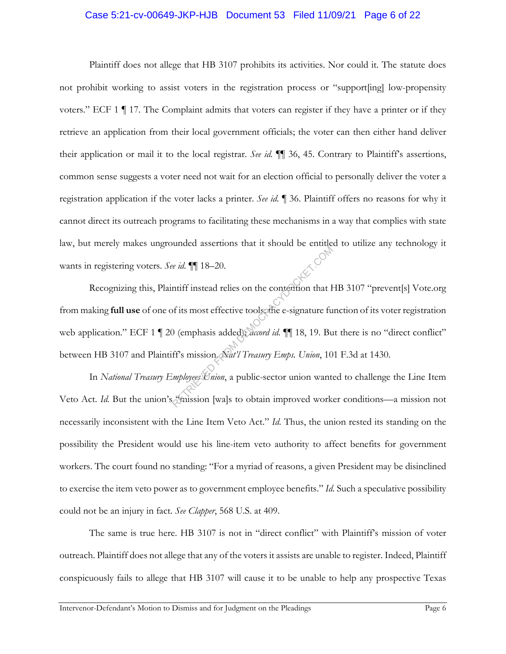#### Case 5:21-cv-00649-JKP-HJB Document 53 Filed 11/09/21 Page 6 of 22

Plaintiff does not allege that HB 3107 prohibits its activities. Nor could it. The statute does not prohibit working to assist voters in the registration process or "support[ing] low-propensity voters." ECF 1 ¶ 17. The Complaint admits that voters can register if they have a printer or if they retrieve an application from their local government officials; the voter can then either hand deliver their application or mail it to the local registrar. *See id.* ¶¶ 36, 45. Contrary to Plaintiff's assertions, common sense suggests a voter need not wait for an election official to personally deliver the voter a registration application if the voter lacks a printer. *See id.* ¶ 36. Plaintiff offers no reasons for why it cannot direct its outreach programs to facilitating these mechanisms in a way that complies with state law, but merely makes ungrounded assertions that it should be entitled to utilize any technology it wants in registering voters. *See id.* ¶¶ 18–20.

Recognizing this, Plaintiff instead relies on the contention that HB 3107 "prevent[s] Vote.org from making **full use** of one of its most effective tools; the e-signature function of its voter registration web application." ECF 1 | 20 (emphasis added); *accord id.* || 18, 19. But there is no "direct conflict" between HB 3107 and Plaintiff's mission. *Nat'l Treasury Emps. Union*, 101 F.3d at 1430. Re *id.* 11 18–20.<br>
Re *id.* 11 18–20.<br>
Intiff instead relies on the contention that If<br>
of its most effective tools the e-signature fu<br>
(emphasis added); accord *id.* 11 18, 19. Bu<br>
ff's mission *Nat'l Treasury Emps. Unio* 

In *National Treasury Employees Union*, a public-sector union wanted to challenge the Line Item Veto Act. *Id*. But the union's "mission [wa]s to obtain improved worker conditions—a mission not necessarily inconsistent with the Line Item Veto Act." *Id.* Thus, the union rested its standing on the possibility the President would use his line-item veto authority to affect benefits for government workers. The court found no standing: "For a myriad of reasons, a given President may be disinclined to exercise the item veto power as to government employee benefits." *Id.* Such a speculative possibility could not be an injury in fact. *See Clapper*, 568 U.S. at 409.

The same is true here. HB 3107 is not in "direct conflict" with Plaintiff's mission of voter outreach. Plaintiff does not allege that any of the voters it assists are unable to register. Indeed, Plaintiff conspicuously fails to allege that HB 3107 will cause it to be unable to help any prospective Texas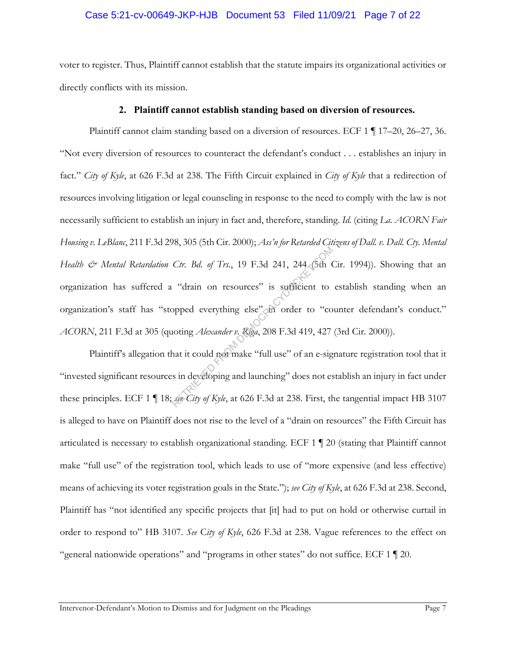## Case 5:21-cv-00649-JKP-HJB Document 53 Filed 11/09/21 Page 7 of 22

voter to register. Thus, Plaintiff cannot establish that the statute impairs its organizational activities or directly conflicts with its mission.

### **2. Plaintiff cannot establish standing based on diversion of resources.**

Plaintiff cannot claim standing based on a diversion of resources. ECF 1 ¶ 17–20, 26–27, 36. "Not every diversion of resources to counteract the defendant's conduct . . . establishes an injury in fact." *City of Kyle*, at 626 F.3d at 238. The Fifth Circuit explained in *City of Kyle* that a redirection of resources involving litigation or legal counseling in response to the need to comply with the law is not necessarily sufficient to establish an injury in fact and, therefore, standing. *Id.* (citing *La. ACORN Fair Housing v. LeBlanc*, 211 F.3d 298, 305 (5th Cir. 2000); *Ass'n for Retarded Citizens of Dall. v. Dall. Cty. Mental Health & Mental Retardation Ctr. Bd. of Trs.*, 19 F.3d 241, 244 (5th Cir. 1994)). Showing that an organization has suffered a "drain on resources" is sufficient to establish standing when an organization's staff has "stopped everything else" in order to "counter defendant's conduct." *ACORN*, 211 F.3d at 305 (quoting *Alexander v. Riga*, 208 F.3d 419, 427 (3rd Cir. 2000)). Ctr. Bd. of Trs., 19 F.3d 241, 244 (5th C<br>
"drain on resources" is sufficient to<br>
opped everything else" on order to "co<br>
noting *Alexander v. Riga*, 208 F.3d 419, 427<br>
hat it could not make "full use" of an e-sig<br>
sin dev

Plaintiff's allegation that it could not make "full use" of an e-signature registration tool that it "invested significant resources in developing and launching" does not establish an injury in fact under these principles. ECF 1 ¶ 18; *see City of Kyle*, at 626 F.3d at 238. First, the tangential impact HB 3107 is alleged to have on Plaintiff does not rise to the level of a "drain on resources" the Fifth Circuit has articulated is necessary to establish organizational standing. ECF 1 ¶ 20 (stating that Plaintiff cannot make "full use" of the registration tool, which leads to use of "more expensive (and less effective) means of achieving its voter registration goals in the State."); *see City of Kyle*, at 626 F.3d at 238. Second, Plaintiff has "not identified any specific projects that [it] had to put on hold or otherwise curtail in order to respond to" HB 3107. *See* C*ity of Kyle*, 626 F.3d at 238. Vague references to the effect on "general nationwide operations" and "programs in other states" do not suffice. ECF 1 ¶ 20.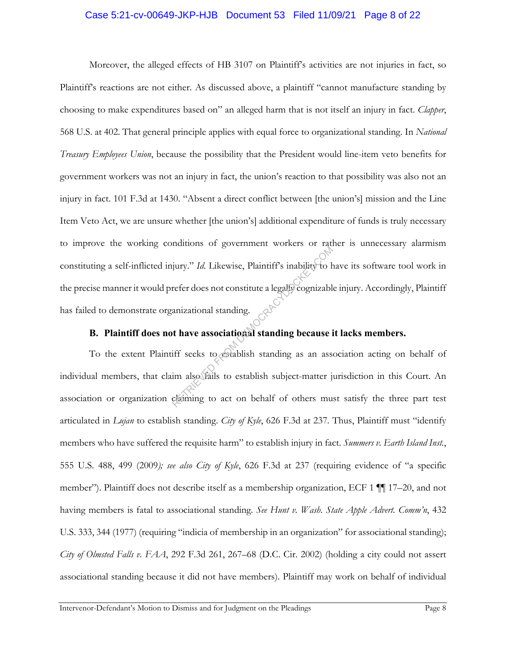#### Case 5:21-cv-00649-JKP-HJB Document 53 Filed 11/09/21 Page 8 of 22

Moreover, the alleged effects of HB 3107 on Plaintiff's activities are not injuries in fact, so Plaintiff's reactions are not either. As discussed above, a plaintiff "cannot manufacture standing by choosing to make expenditures based on" an alleged harm that is not itself an injury in fact. *Clapper*, 568 U.S. at 402. That general principle applies with equal force to organizational standing. In *National Treasury Employees Union*, because the possibility that the President would line-item veto benefits for government workers was not an injury in fact, the union's reaction to that possibility was also not an injury in fact. 101 F.3d at 1430. "Absent a direct conflict between [the union's] mission and the Line Item Veto Act, we are unsure whether [the union's] additional expenditure of funds is truly necessary to improve the working conditions of government workers or rather is unnecessary alarmism constituting a self-inflicted injury." *Id.* Likewise, Plaintiff's inability to have its software tool work in the precise manner it would prefer does not constitute a legally cognizable injury. Accordingly, Plaintiff has failed to demonstrate organizational standing. Experiment waters of the transmit of the set of the set of the set of the refer does not constitute a legally cognizable anizational standing.<br> **A thave associational standing because** if the set of the set of the set of

# **B. Plaintiff does not have associational standing because it lacks members.**

To the extent Plaintiff seeks to establish standing as an association acting on behalf of individual members, that claim also fails to establish subject-matter jurisdiction in this Court. An association or organization claiming to act on behalf of others must satisfy the three part test articulated in *Lujan* to establish standing. *City of Kyle*, 626 F.3d at 237. Thus, Plaintiff must "identify members who have suffered the requisite harm" to establish injury in fact. *Summers v. Earth Island Inst.*, 555 U.S. 488, 499 (2009*); see also City of Kyle*, 626 F.3d at 237 (requiring evidence of "a specific member"). Plaintiff does not describe itself as a membership organization, ECF 1 ¶¶ 17–20, and not having members is fatal to associational standing. *See Hunt v. Wash. State Apple Advert. Comm'n*, 432 U.S. 333, 344 (1977) (requiring "indicia of membership in an organization" for associational standing); *City of Olmsted Falls v. FAA*, 292 F.3d 261, 267–68 (D.C. Cir. 2002) (holding a city could not assert associational standing because it did not have members). Plaintiff may work on behalf of individual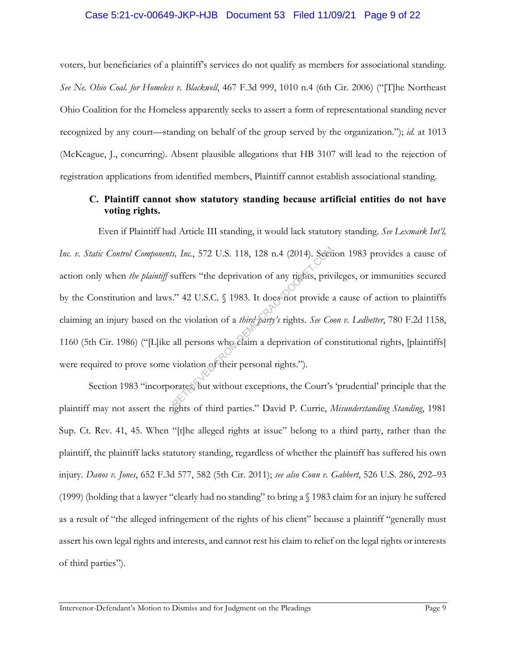### Case 5:21-cv-00649-JKP-HJB Document 53 Filed 11/09/21 Page 9 of 22

voters, but beneficiaries of a plaintiff's services do not qualify as members for associational standing. *See Ne. Ohio Coal. for Homeless v. Blackwell*, 467 F.3d 999, 1010 n.4 (6th Cir. 2006) ("[T]he Northeast Ohio Coalition for the Homeless apparently seeks to assert a form of representational standing never recognized by any court—standing on behalf of the group served by the organization."); *id.* at 1013 (McKeague, J., concurring). Absent plausible allegations that HB 3107 will lead to the rejection of registration applications from identified members, Plaintiff cannot establish associational standing.

# **C. Plaintiff cannot show statutory standing because artificial entities do not have voting rights.**

Even if Plaintiff had Article III standing, it would lack statutory standing. *See Lexmark Int'l, Inc. v. Static Control Components, Inc.*, 572 U.S. 118, 128 n.4 (2014). Section 1983 provides a cause of action only when *the plaintiff* suffers "the deprivation of any rights, privileges, or immunities secured by the Constitution and laws." 42 U.S.C. § 1983. It does not provide a cause of action to plaintiffs claiming an injury based on the violation of a *third party's* rights. *See Coon v. Ledbetter*, 780 F.2d 1158, 1160 (5th Cir. 1986) ("[L]ike all persons who claim a deprivation of constitutional rights, [plaintiffs] were required to prove some violation of their personal rights."). External Str. 572 U.S. 118, 128 n.4 (2014). Seet<br>suffers "the deprivation of any rights, prive"." 42 U.S.C. § 1983. It does not provide:<br>the violation of a *third-party's* rights. *See Co*<br>all persons who claim a deprivat

Section 1983 "incorporates, but without exceptions, the Court's 'prudential' principle that the plaintiff may not assert the rights of third parties." David P. Currie, *Misunderstanding Standing*, 1981 Sup. Ct. Rev. 41, 45. When "[t]he alleged rights at issue" belong to a third party, rather than the plaintiff, the plaintiff lacks statutory standing, regardless of whether the plaintiff has suffered his own injury. *Danos v. Jones*, 652 F.3d 577, 582 (5th Cir. 2011); *see also Conn v. Gabbert*, 526 U.S. 286, 292–93 (1999) (holding that a lawyer "clearly had no standing" to bring a § 1983 claim for an injury he suffered as a result of "the alleged infringement of the rights of his client" because a plaintiff "generally must assert his own legal rights and interests, and cannot rest his claim to relief on the legal rights or interests of third parties").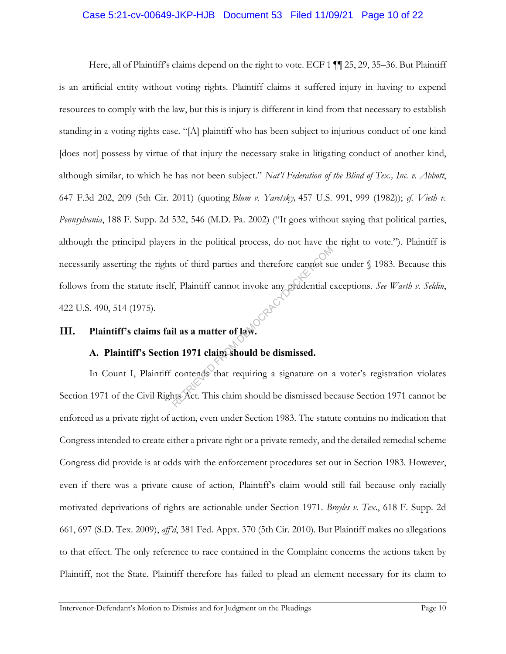## Case 5:21-cv-00649-JKP-HJB Document 53 Filed 11/09/21 Page 10 of 22

Here, all of Plaintiff's claims depend on the right to vote. ECF 1  $\P$  1 25, 29, 35–36. But Plaintiff is an artificial entity without voting rights. Plaintiff claims it suffered injury in having to expend resources to comply with the law, but this is injury is different in kind from that necessary to establish standing in a voting rights case. "[A] plaintiff who has been subject to injurious conduct of one kind [does not] possess by virtue of that injury the necessary stake in litigating conduct of another kind, although similar, to which he has not been subject." *Nat'l Federation of the Blind of Tex., Inc. v. Abbott*, 647 F.3d 202, 209 (5th Cir. 2011) (quoting *Blum v. Yaretsky,* 457 U.S. 991, 999 (1982)); *cf. Vieth v. Pennsylvania*, 188 F. Supp. 2d 532, 546 (M.D. Pa. 2002) ("It goes without saying that political parties, although the principal players in the political process, do not have the right to vote."). Plaintiff is necessarily asserting the rights of third parties and therefore cannot sue under § 1983. Because this follows from the statute itself, Plaintiff cannot invoke any prudential exceptions. *See Warth v. Seldin*, 422 U.S. 490, 514 (1975). Examples and therefore cannot sum<br>f, Plaintiff cannot invoke any prodential examples of law.<br>il as a matter of law.<br>property of the dismissed.<br>contends that requiring a signature on any Act. This claim should be dismissed

# **III. Plaintiff's claims fail as a matter of law.**

# **A. Plaintiff's Section 1971 claim should be dismissed.**

In Count I, Plaintiff contends that requiring a signature on a voter's registration violates Section 1971 of the Civil Rights Act. This claim should be dismissed because Section 1971 cannot be enforced as a private right of action, even under Section 1983. The statute contains no indication that Congress intended to create either a private right or a private remedy, and the detailed remedial scheme Congress did provide is at odds with the enforcement procedures set out in Section 1983. However, even if there was a private cause of action, Plaintiff's claim would still fail because only racially motivated deprivations of rights are actionable under Section 1971. *Broyles v. Tex*., 618 F. Supp. 2d 661, 697 (S.D. Tex. 2009), *aff'd*, 381 Fed. Appx. 370 (5th Cir. 2010). But Plaintiff makes no allegations to that effect. The only reference to race contained in the Complaint concerns the actions taken by Plaintiff, not the State. Plaintiff therefore has failed to plead an element necessary for its claim to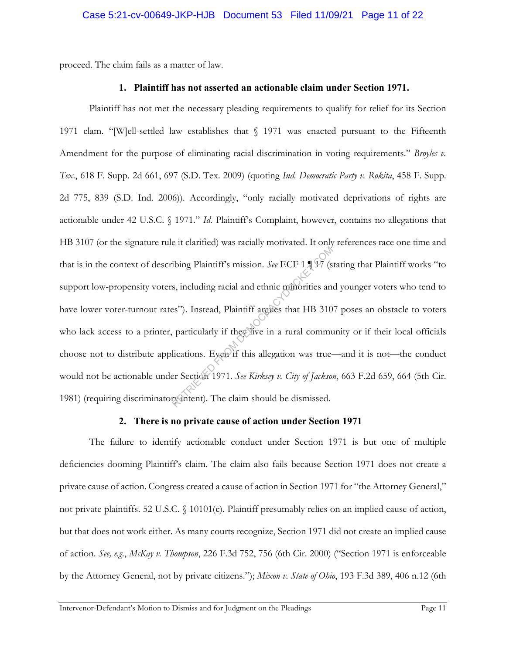proceed. The claim fails as a matter of law.

## **1. Plaintiff has not asserted an actionable claim under Section 1971.**

Plaintiff has not met the necessary pleading requirements to qualify for relief for its Section 1971 clam. "[W]ell-settled law establishes that § 1971 was enacted pursuant to the Fifteenth Amendment for the purpose of eliminating racial discrimination in voting requirements." *Broyles v. Tex*., 618 F. Supp. 2d 661, 697 (S.D. Tex. 2009) (quoting *Ind. Democratic Party v. Rokita*, 458 F. Supp. 2d 775, 839 (S.D. Ind. 2006)). Accordingly, "only racially motivated deprivations of rights are actionable under 42 U.S.C. § 1971." *Id.* Plaintiff's Complaint, however, contains no allegations that HB 3107 (or the signature rule it clarified) was racially motivated. It only references race one time and that is in the context of describing Plaintiff's mission. *See* ECF 1  $\sqrt{V}$  (stating that Plaintiff works "to support low-propensity voters, including racial and ethnic minorities and younger voters who tend to have lower voter-turnout rates"). Instead, Plaintiff argues that HB 3107 poses an obstacle to voters who lack access to a printer, particularly if they live in a rural community or if their local officials choose not to distribute applications. Even if this allegation was true—and it is not—the conduct would not be actionable under Section 1971. *See Kirksey v. City of Jackson*, 663 F.2d 659, 664 (5th Cir. 1981) (requiring discriminatory intent)*.* The claim should be dismissed. Thing Plaintiff's mission. *See* ECF 1.1 <sup>477</sup> (s<br>
s, including racial and ethnic munorities and<br>
es''). Instead, Plaintiff argues that HB 310<br>
particularly if they live in a rural communications. Eyem if this allegation w

# **2. There is no private cause of action under Section 1971**

The failure to identify actionable conduct under Section 1971 is but one of multiple deficiencies dooming Plaintiff's claim. The claim also fails because Section 1971 does not create a private cause of action. Congress created a cause of action in Section 1971 for "the Attorney General," not private plaintiffs. 52 U.S.C. § 10101(c). Plaintiff presumably relies on an implied cause of action, but that does not work either. As many courts recognize, Section 1971 did not create an implied cause of action. *See, e.g.*, *McKay v. Thompson*, 226 F.3d 752, 756 (6th Cir. 2000) ("Section 1971 is enforceable by the Attorney General, not by private citizens."); *Mixon v. State of Ohio*, 193 F.3d 389, 406 n.12 (6th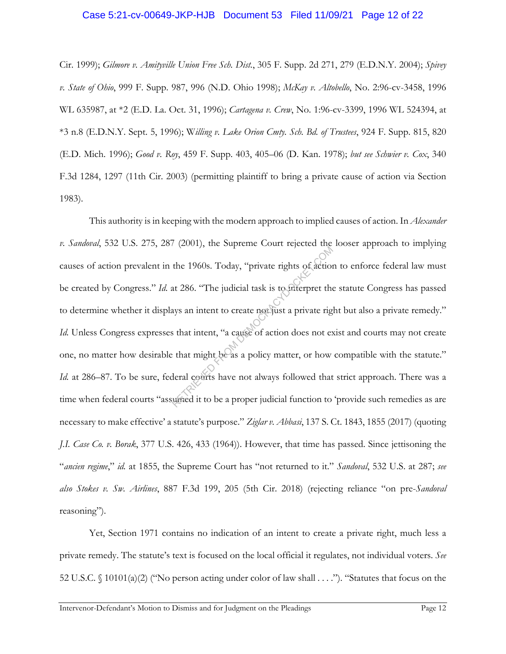#### Case 5:21-cv-00649-JKP-HJB Document 53 Filed 11/09/21 Page 12 of 22

Cir. 1999); *Gilmore v. Amityville Union Free Sch. Dist.*, 305 F. Supp. 2d 271, 279 (E.D.N.Y. 2004); *Spivey v. State of Ohio*, 999 F. Supp. 987, 996 (N.D. Ohio 1998); *McKay v. Altobello*, No. 2:96-cv-3458, 1996 WL 635987, at \*2 (E.D. La. Oct. 31, 1996); *Cartagena v. Crew*, No. 1:96-cv-3399, 1996 WL 524394, at \*3 n.8 (E.D.N.Y. Sept. 5, 1996); W*illing v. Lake Orion Cmty. Sch. Bd. of Trustees*, 924 F. Supp. 815, 820 (E.D. Mich. 1996); *Good v. Roy*, 459 F. Supp. 403, 405–06 (D. Kan. 1978); *but see Schwier v. Cox*, 340 F.3d 1284, 1297 (11th Cir. 2003) (permitting plaintiff to bring a private cause of action via Section 1983).

This authority is in keeping with the modern approach to implied causes of action. In *Alexander v. Sandoval*, 532 U.S. 275, 287 (2001), the Supreme Court rejected the looser approach to implying causes of action prevalent in the 1960s. Today, "private rights of action to enforce federal law must be created by Congress." *Id.* at 286. "The judicial task is to interpret the statute Congress has passed to determine whether it displays an intent to create not just a private right but also a private remedy." *Id.* Unless Congress expresses that intent, "a cause of action does not exist and courts may not create one, no matter how desirable that might be as a policy matter, or how compatible with the statute." *Id.* at 286–87. To be sure, federal courts have not always followed that strict approach. There was a time when federal courts "assumed it to be a proper judicial function to 'provide such remedies as are necessary to make effective' a statute's purpose." *Ziglar v. Abbasi*, 137 S. Ct. 1843, 1855 (2017) (quoting *J.I. Case Co. v. Borak*, 377 U.S. 426, 433 (1964)). However, that time has passed. Since jettisoning the "*ancien regime*," *id.* at 1855, the Supreme Court has "not returned to it." *Sandoval*, 532 U.S. at 287; *see also Stokes v. Sw. Airlines*, 887 F.3d 199, 205 (5th Cir. 2018) (rejecting reliance "on pre-*Sandoval* reasoning"). the 1960s. Today, "private rights of action<br>at 286. "The judicial task is to interpret the<br>ays an intent to create not just a private right<br>shat intent, "a cause of action does not es<br>that might be as a policy matter, or h

Yet, Section 1971 contains no indication of an intent to create a private right, much less a private remedy. The statute's text is focused on the local official it regulates, not individual voters. *See*  52 U.S.C. § 10101(a)(2) ("No person acting under color of law shall . . . ."). "Statutes that focus on the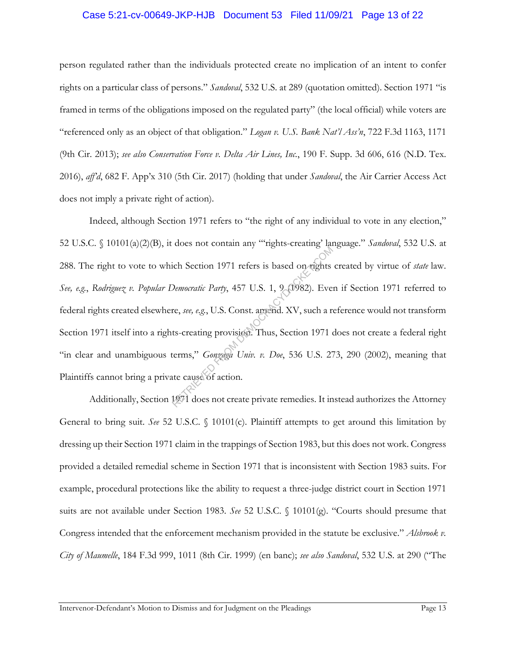### Case 5:21-cv-00649-JKP-HJB Document 53 Filed 11/09/21 Page 13 of 22

person regulated rather than the individuals protected create no implication of an intent to confer rights on a particular class of persons." *Sandoval*, 532 U.S. at 289 (quotation omitted). Section 1971 "is framed in terms of the obligations imposed on the regulated party" (the local official) while voters are "referenced only as an object of that obligation." *Logan v. U.S. Bank Nat'l Ass'n*, 722 F.3d 1163, 1171 (9th Cir. 2013); *see also Conservation Force v. Delta Air Lines, Inc.*, 190 F. Supp. 3d 606, 616 (N.D. Tex. 2016), *aff'd*, 682 F. App'x 310 (5th Cir. 2017) (holding that under *Sandoval*, the Air Carrier Access Act does not imply a private right of action).

Indeed, although Section 1971 refers to "the right of any individual to vote in any election," 52 U.S.C. § 10101(a)(2)(B), it does not contain any "'rights-creating' language." *Sandoval*, 532 U.S. at 288. The right to vote to which Section 1971 refers is based on rights created by virtue of *state* law. *See, e.g.*, *Rodriguez v. Popular Democratic Party*, 457 U.S. 1, 9 (1982). Even if Section 1971 referred to federal rights created elsewhere, *see, e.g.*, U.S. Const. amend. XV, such a reference would not transform Section 1971 itself into a rights-creating provision. Thus, Section 1971 does not create a federal right "in clear and unambiguous terms," *Gonzaga Univ. v. Doe*, 536 U.S. 273, 290 (2002), meaning that Plaintiffs cannot bring a private cause of action. The Contains and September of the Section 1971 refers is based on rights<br>Democratic Party, 457 U.S. 1, 9 (1982). Every<br>From the expectation of the Section 1971 of<br>the Section 1971 of the Section 2012 of the Cause of action

Additionally, Section 1971 does not create private remedies. It instead authorizes the Attorney General to bring suit. *See* 52 U.S.C. § 10101(c). Plaintiff attempts to get around this limitation by dressing up their Section 1971 claim in the trappings of Section 1983, but this does not work. Congress provided a detailed remedial scheme in Section 1971 that is inconsistent with Section 1983 suits. For example, procedural protections like the ability to request a three-judge district court in Section 1971 suits are not available under Section 1983. *See* 52 U.S.C. § 10101(g). "Courts should presume that Congress intended that the enforcement mechanism provided in the statute be exclusive." *Alsbrook v. City of Maumelle*, 184 F.3d 999, 1011 (8th Cir. 1999) (en banc); *see also Sandoval*, 532 U.S. at 290 ("The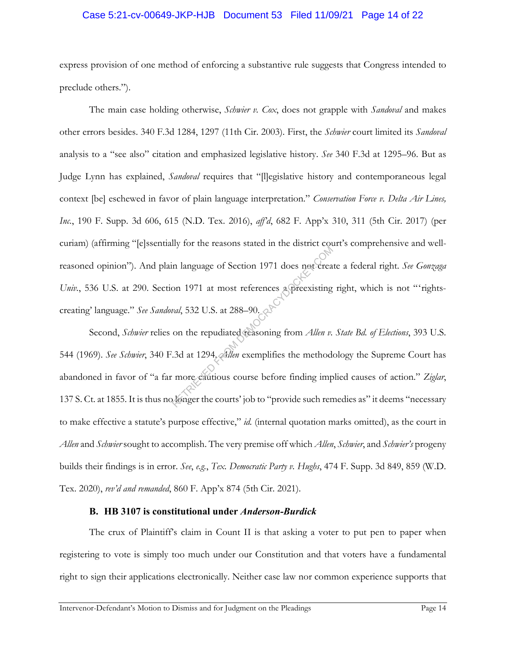### Case 5:21-cv-00649-JKP-HJB Document 53 Filed 11/09/21 Page 14 of 22

express provision of one method of enforcing a substantive rule suggests that Congress intended to preclude others.").

The main case holding otherwise, *Schwier v. Cox*, does not grapple with *Sandoval* and makes other errors besides. 340 F.3d 1284, 1297 (11th Cir. 2003). First, the *Schwier* court limited its *Sandoval*  analysis to a "see also" citation and emphasized legislative history. *See* 340 F.3d at 1295–96. But as Judge Lynn has explained, *Sandoval* requires that "[l]egislative history and contemporaneous legal context [be] eschewed in favor of plain language interpretation." *Conservation Force v. Delta Air Lines, Inc.*, 190 F. Supp. 3d 606, 615 (N.D. Tex. 2016), *aff'd*, 682 F. App'x 310, 311 (5th Cir. 2017) (per curiam) (affirming "[e]ssentially for the reasons stated in the district court's comprehensive and wellreasoned opinion"). And plain language of Section 1971 does not create a federal right. *See Gonzaga Univ.*, 536 U.S. at 290. Section 1971 at most references a preexisting right, which is not "'rightscreating' language." *See Sandoval*, 532 U.S. at 288–90.

Second, *Schwier* relies on the repudiated reasoning from *Allen v. State Bd. of Elections*, 393 U.S. 544 (1969). *See Schwier*, 340 F.3d at 1294. *Allen* exemplifies the methodology the Supreme Court has abandoned in favor of "a far more cautious course before finding implied causes of action." *Ziglar*, 137 S. Ct. at 1855. It is thus no longer the courts' job to "provide such remedies as" it deems "necessary to make effective a statute's purpose effective," *id.* (internal quotation marks omitted), as the court in *Allen* and *Schwier* sought to accomplish. The very premise off which *Allen*, *Schwier*, and *Schwier's* progeny builds their findings is in error. *See*, *e.g.*, *Tex. Democratic Party v. Hughs*, 474 F. Supp. 3d 849, 859 (W.D. Tex. 2020), *rev'd and remanded*, 860 F. App'x 874 (5th Cir. 2021). The Transfer of Section 1971 does not creamed the method<br>on 1971 at most references a preexisting<br>*val*, 532 U.S. at 288–90.<br>on the repudiated reasoning from *Allen v*.<br>3d at 1294, *Allen* exemplifies the method<br>more cauti

## **B. HB 3107 is constitutional under** *Anderson-Burdick*

The crux of Plaintiff's claim in Count II is that asking a voter to put pen to paper when registering to vote is simply too much under our Constitution and that voters have a fundamental right to sign their applications electronically. Neither case law nor common experience supports that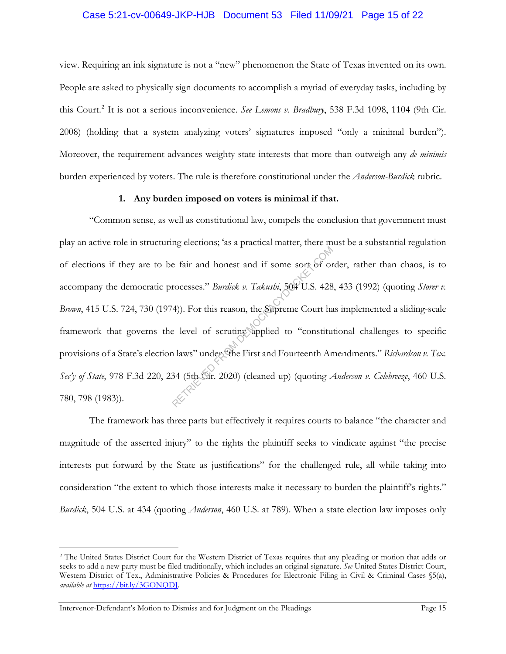### Case 5:21-cv-00649-JKP-HJB Document 53 Filed 11/09/21 Page 15 of 22

view. Requiring an ink signature is not a "new" phenomenon the State of Texas invented on its own. People are asked to physically sign documents to accomplish a myriad of everyday tasks, including by this Court.2 It is not a serious inconvenience. *See Lemons v. Bradbury*, 538 F.3d 1098, 1104 (9th Cir. 2008) (holding that a system analyzing voters' signatures imposed "only a minimal burden"). Moreover, the requirement advances weighty state interests that more than outweigh any *de minimis*  burden experienced by voters. The rule is therefore constitutional under the *Anderson-Burdick* rubric.

#### **1. Any burden imposed on voters is minimal if that.**

"Common sense, as well as constitutional law, compels the conclusion that government must play an active role in structuring elections; 'as a practical matter, there must be a substantial regulation of elections if they are to be fair and honest and if some sort of order, rather than chaos, is to accompany the democratic processes." *Burdick v. Takushi*, 504 U.S. 428, 433 (1992) (quoting *Storer v. Brown*, 415 U.S. 724, 730 (1974)). For this reason, the Supreme Court has implemented a sliding-scale framework that governs the level of scrutiny applied to "constitutional challenges to specific provisions of a State's election laws" under "the First and Fourteenth Amendments." *Richardson v. Tex. Sec'y of State*, 978 F.3d 220, 234 (5th Cir. 2020) (cleaned up) (quoting *Anderson v. Celebreeze*, 460 U.S. 780, 798 (1983)). e fair and honest and if some sort of or<br>rocesses." *Burdick v. Takushi*, 504 U.S. 428<br>4). For this reason, the Supreme Court has<br>e level of scruting applied to "constiture"<br>allaws" under the First and Fourteenth Are<br>34 (5

The framework has three parts but effectively it requires courts to balance "the character and magnitude of the asserted injury" to the rights the plaintiff seeks to vindicate against "the precise interests put forward by the State as justifications" for the challenged rule, all while taking into consideration "the extent to which those interests make it necessary to burden the plaintiff's rights." *Burdick*, 504 U.S. at 434 (quoting *Anderson*, 460 U.S. at 789). When a state election law imposes only

<sup>&</sup>lt;sup>2</sup> The United States District Court for the Western District of Texas requires that any pleading or motion that adds or seeks to add a new party must be filed traditionally, which includes an original signature. *See* United States District Court, Western District of Tex., Administrative Policies & Procedures for Electronic Filing in Civil & Criminal Cases §5(a), *available at* https://bit.ly/3GONQDJ.

Intervenor-Defendant's Motion to Dismiss and for Judgment on the Pleadings Page 15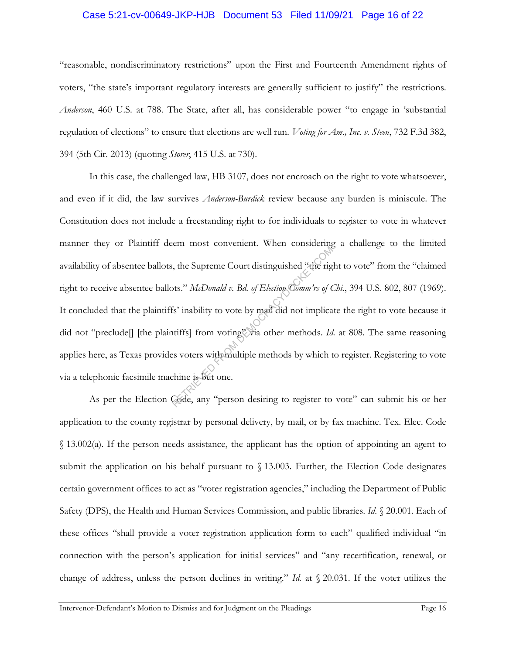#### Case 5:21-cv-00649-JKP-HJB Document 53 Filed 11/09/21 Page 16 of 22

"reasonable, nondiscriminatory restrictions" upon the First and Fourteenth Amendment rights of voters, "the state's important regulatory interests are generally sufficient to justify" the restrictions. *Anderson*, 460 U.S. at 788. The State, after all, has considerable power "to engage in 'substantial regulation of elections" to ensure that elections are well run. *Voting for Am., Inc. v. Steen*, 732 F.3d 382, 394 (5th Cir. 2013) (quoting *Storer*, 415 U.S. at 730).

In this case, the challenged law, HB 3107, does not encroach on the right to vote whatsoever, and even if it did, the law survives *Anderson-Burdick* review because any burden is miniscule. The Constitution does not include a freestanding right to for individuals to register to vote in whatever manner they or Plaintiff deem most convenient. When considering a challenge to the limited availability of absentee ballots, the Supreme Court distinguished "the right to vote" from the "claimed right to receive absentee ballots." *McDonald v. Bd. of Election Comm'rs of Chi.*, 394 U.S. 802, 807 (1969). It concluded that the plaintiffs' inability to vote by mail did not implicate the right to vote because it did not "preclude<sup>[]</sup> [the plaintiffs] from voting" via other methods. *Id.* at 808. The same reasoning applies here, as Texas provides voters with multiple methods by which to register. Registering to vote via a telephonic facsimile machine is but one. examples the Supreme Court distinguished "the rights." McDonald v. Bd. of Election Comm'rs of C<br>fs' inability to vote by mail did not implica<br>tiffs] from voting "via other methods. Id<br>es voters with multiple methods by whi

As per the Election Code, any "person desiring to register to vote" can submit his or her application to the county registrar by personal delivery, by mail, or by fax machine. Tex. Elec. Code § 13.002(a). If the person needs assistance, the applicant has the option of appointing an agent to submit the application on his behalf pursuant to § 13.003. Further, the Election Code designates certain government offices to act as "voter registration agencies," including the Department of Public Safety (DPS), the Health and Human Services Commission, and public libraries. *Id.* § 20.001. Each of these offices "shall provide a voter registration application form to each" qualified individual "in connection with the person's application for initial services" and "any recertification, renewal, or change of address, unless the person declines in writing." *Id.* at § 20.031. If the voter utilizes the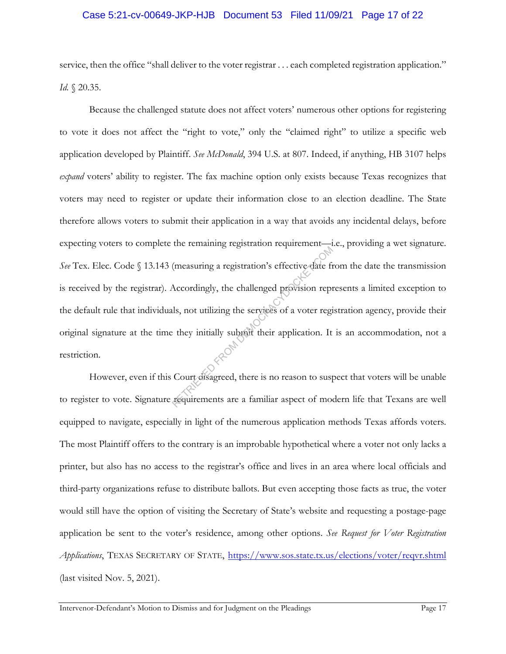### Case 5:21-cv-00649-JKP-HJB Document 53 Filed 11/09/21 Page 17 of 22

service, then the office "shall deliver to the voter registrar . . . each completed registration application." *Id.* § 20.35.

Because the challenged statute does not affect voters' numerous other options for registering to vote it does not affect the "right to vote," only the "claimed right" to utilize a specific web application developed by Plaintiff. *See McDonald*, 394 U.S. at 807. Indeed, if anything, HB 3107 helps *expand* voters' ability to register. The fax machine option only exists because Texas recognizes that voters may need to register or update their information close to an election deadline. The State therefore allows voters to submit their application in a way that avoids any incidental delays, before expecting voters to complete the remaining registration requirement—i.e., providing a wet signature. See Tex. Elec. Code § 13.143 (measuring a registration's effective date from the date the transmission is received by the registrar). Accordingly, the challenged provision represents a limited exception to the default rule that individuals, not utilizing the services of a voter registration agency, provide their original signature at the time they initially submit their application. It is an accommodation, not a restriction. (measuring a registration's effective date fit<br>Accordingly, the challenged provision repuls, not utilizing the services of a voter regional<br>their application. It<br>they initially substitute their application. It<br>Court disagr

However, even if this Court disagreed, there is no reason to suspect that voters will be unable to register to vote. Signature requirements are a familiar aspect of modern life that Texans are well equipped to navigate, especially in light of the numerous application methods Texas affords voters. The most Plaintiff offers to the contrary is an improbable hypothetical where a voter not only lacks a printer, but also has no access to the registrar's office and lives in an area where local officials and third-party organizations refuse to distribute ballots. But even accepting those facts as true, the voter would still have the option of visiting the Secretary of State's website and requesting a postage-page application be sent to the voter's residence, among other options. *See Request for Voter Registration Applications*, TEXAS SECRETARY OF STATE, https://www.sos.state.tx.us/elections/voter/reqvr.shtml (last visited Nov. 5, 2021).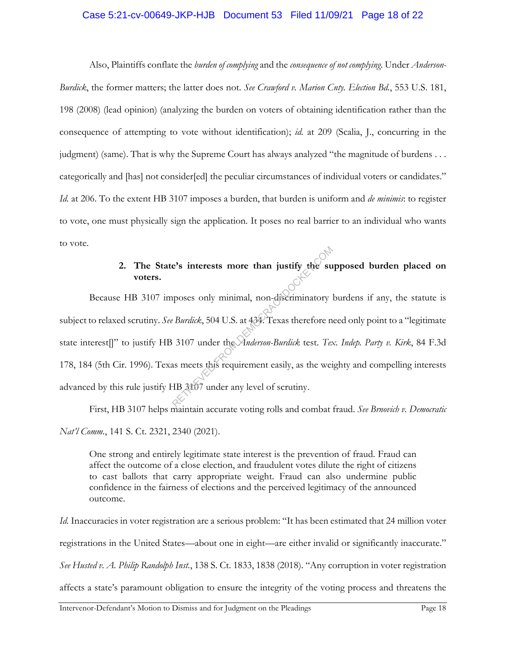### Case 5:21-cv-00649-JKP-HJB Document 53 Filed 11/09/21 Page 18 of 22

Also, Plaintiffs conflate the *burden of complying* and the *consequence of not complying*. Under *Anderson-Burdick*, the former matters; the latter does not. *See Crawford v. Marion Cnty. Election Bd.*, 553 U.S. 181, 198 (2008) (lead opinion) (analyzing the burden on voters of obtaining identification rather than the consequence of attempting to vote without identification); *id.* at 209 (Scalia, J., concurring in the judgment) (same). That is why the Supreme Court has always analyzed "the magnitude of burdens . . . categorically and [has] not consider[ed] the peculiar circumstances of individual voters or candidates." *Id.* at 206. To the extent HB 3107 imposes a burden, that burden is uniform and *de minimis*: to register to vote, one must physically sign the application. It poses no real barrier to an individual who wants to vote.

# **2. The State's interests more than justify the supposed burden placed on voters.**

Because HB 3107 imposes only minimal, non-discriminatory burdens if any, the statute is subject to relaxed scrutiny. *See Burdick*, 504 U.S. at 434. Texas therefore need only point to a "legitimate state interest[]" to justify HB 3107 under the *Anderson-Burdick* test. *Tex. Indep. Party v. Kirk*, 84 F.3d 178, 184 (5th Cir. 1996). Texas meets this requirement easily, as the weighty and compelling interests advanced by this rule justify HB 3107 under any level of scrutiny. e's interests more than justify the supposes only minimal, non-discriminatory represents the Multiple Parameter.<br>
Retail Burdick, 504 U.S. at 434. Texas therefore not all build be a meets this requirement easily, as the we

First, HB 3107 helps maintain accurate voting rolls and combat fraud. *See Brnovich v. Democratic Nat'l Comm.*, 141 S. Ct. 2321, 2340 (2021).

One strong and entirely legitimate state interest is the prevention of fraud. Fraud can affect the outcome of a close election, and fraudulent votes dilute the right of citizens to cast ballots that carry appropriate weight. Fraud can also undermine public confidence in the fairness of elections and the perceived legitimacy of the announced outcome.

*Id.* Inaccuracies in voter registration are a serious problem: "It has been estimated that 24 million voter registrations in the United States—about one in eight—are either invalid or significantly inaccurate." *See Husted v. A. Philip Randolph Inst.*, 138 S. Ct. 1833, 1838 (2018). "Any corruption in voter registration affects a state's paramount obligation to ensure the integrity of the voting process and threatens the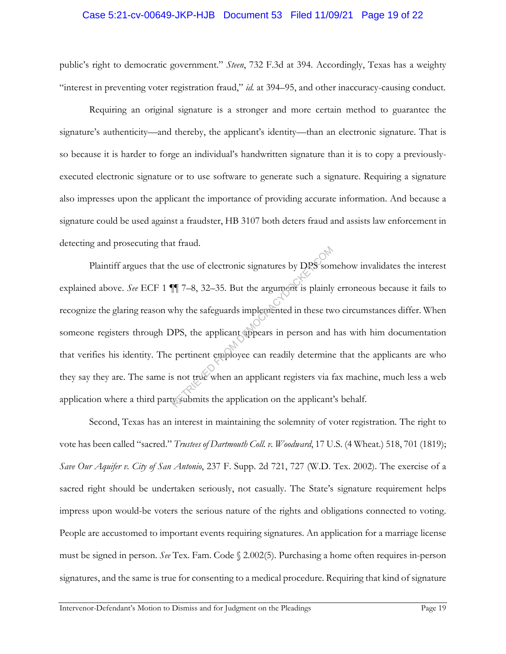### Case 5:21-cv-00649-JKP-HJB Document 53 Filed 11/09/21 Page 19 of 22

public's right to democratic government." *Steen*, 732 F.3d at 394. Accordingly, Texas has a weighty "interest in preventing voter registration fraud," *id.* at 394–95, and other inaccuracy-causing conduct.

Requiring an original signature is a stronger and more certain method to guarantee the signature's authenticity—and thereby, the applicant's identity—than an electronic signature. That is so because it is harder to forge an individual's handwritten signature than it is to copy a previouslyexecuted electronic signature or to use software to generate such a signature. Requiring a signature also impresses upon the applicant the importance of providing accurate information. And because a signature could be used against a fraudster, HB 3107 both deters fraud and assists law enforcement in detecting and prosecuting that fraud.

Plaintiff argues that the use of electronic signatures by DPS somehow invalidates the interest explained above. *See* ECF 1 ¶¶ 7–8, 32–35. But the argument is plainly erroneous because it fails to recognize the glaring reason why the safeguards implemented in these two circumstances differ. When someone registers through DPS, the applicant appears in person and has with him documentation that verifies his identity. The pertinent employee can readily determine that the applicants are who they say they are. The same is not true when an applicant registers via fax machine, much less a web application where a third party submits the application on the applicant's behalf. The ritual.<br>
The ritual of the according of the argument is plainly<br>
RETRIEVED FROM THE AND THE SUPER COMPAST OF THE ALSO POSE OF THE APPLICANT SUPER STATE OF THE APPLICANT OF THE APPLICANT STATE SIDE AND SUPER SUPER SUPER

Second, Texas has an interest in maintaining the solemnity of voter registration. The right to vote has been called "sacred." *Trustees of Dartmouth Coll. v. Woodward*, 17 U.S. (4 Wheat.) 518, 701 (1819); *Save Our Aquifer v. City of San Antonio*, 237 F. Supp. 2d 721, 727 (W.D. Tex. 2002). The exercise of a sacred right should be undertaken seriously, not casually. The State's signature requirement helps impress upon would-be voters the serious nature of the rights and obligations connected to voting. People are accustomed to important events requiring signatures. An application for a marriage license must be signed in person. *See* Tex. Fam. Code § 2.002(5). Purchasing a home often requires in-person signatures, and the same is true for consenting to a medical procedure. Requiring that kind of signature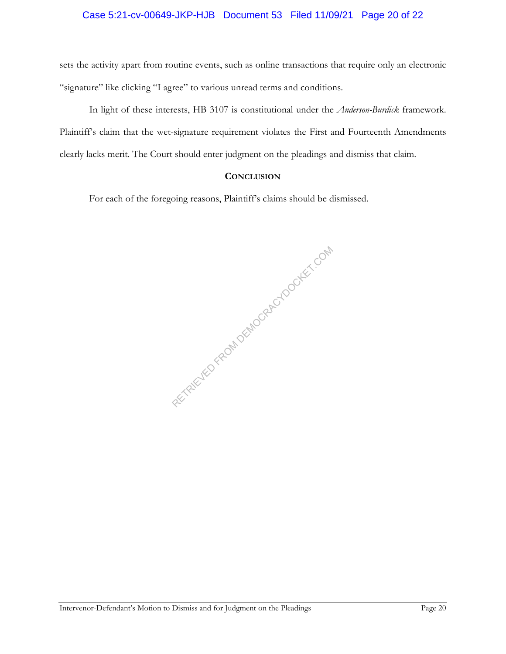## Case 5:21-cv-00649-JKP-HJB Document 53 Filed 11/09/21 Page 20 of 22

sets the activity apart from routine events, such as online transactions that require only an electronic "signature" like clicking "I agree" to various unread terms and conditions.

In light of these interests, HB 3107 is constitutional under the *Anderson-Burdick* framework. Plaintiff's claim that the wet-signature requirement violates the First and Fourteenth Amendments clearly lacks merit. The Court should enter judgment on the pleadings and dismiss that claim.

## **CONCLUSION**

For each of the foregoing reasons, Plaintiff's claims should be dismissed.

RETRIEVED FROM DEMOCRACYDOCKET.COM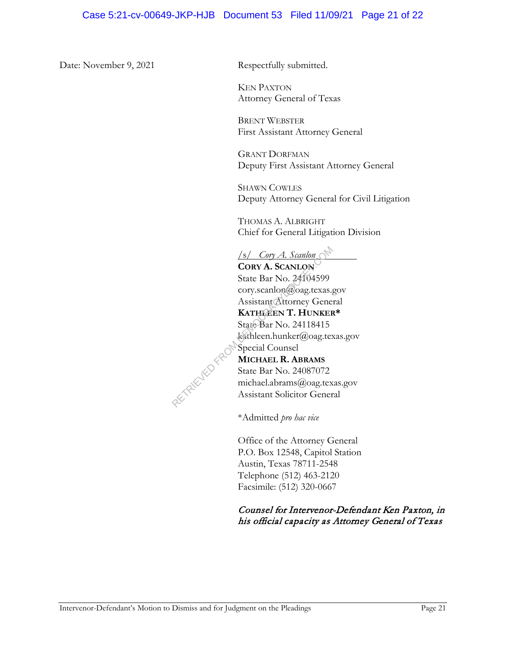Date: November 9, 2021 Respectfully submitted.

KEN PAXTON Attorney General of Texas

BRENT WEBSTER First Assistant Attorney General

GRANT DORFMAN Deputy First Assistant Attorney General

SHAWN COWLES Deputy Attorney General for Civil Litigation

THOMAS A. ALBRIGHT Chief for General Litigation Division

/s/ *Cory A. Scanlon* 

**CORY A. SCANLON** State Bar No. 24104599 cory.scanlon@oag.texas.gov Assistant Attorney General **KATHLEEN T. HUNKER\***  State Bar No. 24118415 kathleen.hunker@oag.texas.gov Special Counsel **MICHAEL R. ABRAMS** Samon<br>
CORY A. ScanLON<br>
State Bar No. 24104599<br>
cory.scanlon@oag.texas.g<br>
Assistant Attorney Gene<br>
KATHEEN T. HUNKER<br>
State Bar No. 24118415<br>
sathleen.hunker@oag.tex<br>
Special Counsel<br>
MICHAEL R. ABRAMS<br>
State Bar No. 24087

State Bar No. 24087072 michael.abrams@oag.texas.gov Assistant Solicitor General

\*Admitted *pro hac vice*

Office of the Attorney General P.O. Box 12548, Capitol Station Austin, Texas 78711-2548 Telephone (512) 463-2120 Facsimile: (512) 320-0667

# Counsel for Intervenor-Defendant Ken Paxton, in his official capacity as Attorney General of Texas